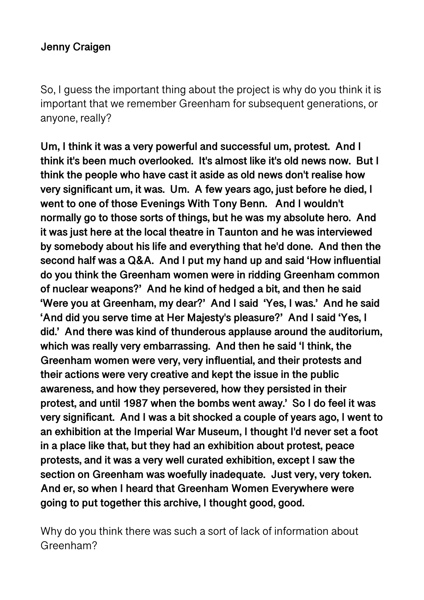So, I guess the important thing about the project is why do you think it is important that we remember Greenham for subsequent generations, or anyone, really?

**Um, I think it was a very powerful and successful um, protest. And I think it's been much overlooked. It's almost like it's old news now. But I think the people who have cast it aside as old news don't realise how very significant um, it was. Um. A few years ago, just before he died, I went to one of those Evenings With Tony Benn. And I wouldn't normally go to those sorts of things, but he was my absolute hero. And it was just here at the local theatre in Taunton and he was interviewed by somebody about his life and everything that he'd done. And then the second half was a Q&A. And I put my hand up and said 'How influential do you think the Greenham women were in ridding Greenham common of nuclear weapons?' And he kind of hedged a bit, and then he said 'Were you at Greenham, my dear?' And I said 'Yes, I was.' And he said 'And did you serve time at Her Majesty's pleasure?' And I said 'Yes, I did.' And there was kind of thunderous applause around the auditorium, which was really very embarrassing. And then he said 'I think, the Greenham women were very, very influential, and their protests and their actions were very creative and kept the issue in the public awareness, and how they persevered, how they persisted in their protest, and until 1987 when the bombs went away.' So I do feel it was very significant. And I was a bit shocked a couple of years ago, I went to an exhibition at the Imperial War Museum, I thought I'd never set a foot in a place like that, but they had an exhibition about protest, peace protests, and it was a very well curated exhibition, except I saw the section on Greenham was woefully inadequate. Just very, very token. And er, so when I heard that Greenham Women Everywhere were going to put together this archive, I thought good, good.** 

Why do you think there was such a sort of lack of information about Greenham?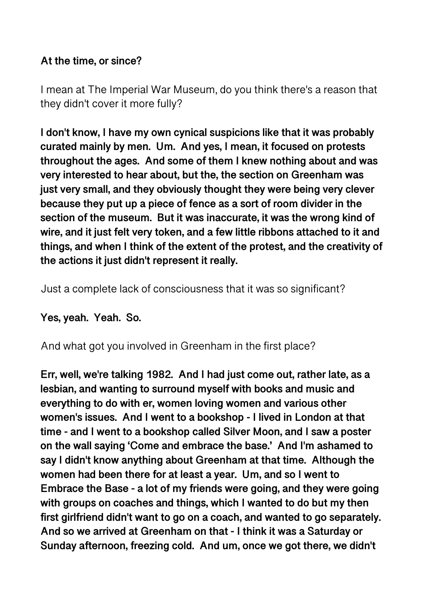### **At the time, or since?**

I mean at The Imperial War Museum, do you think there's a reason that they didn't cover it more fully?

**I don't know, I have my own cynical suspicions like that it was probably curated mainly by men. Um. And yes, I mean, it focused on protests throughout the ages. And some of them I knew nothing about and was very interested to hear about, but the, the section on Greenham was just very small, and they obviously thought they were being very clever because they put up a piece of fence as a sort of room divider in the section of the museum. But it was inaccurate, it was the wrong kind of wire, and it just felt very token, and a few little ribbons attached to it and things, and when I think of the extent of the protest, and the creativity of the actions it just didn't represent it really.** 

Just a complete lack of consciousness that it was so significant?

**Yes, yeah. Yeah. So.** 

And what got you involved in Greenham in the first place?

**Err, well, we're talking 1982. And I had just come out, rather late, as a lesbian, and wanting to surround myself with books and music and everything to do with er, women loving women and various other women's issues. And I went to a bookshop - I lived in London at that time - and I went to a bookshop called Silver Moon, and I saw a poster on the wall saying 'Come and embrace the base.' And I'm ashamed to say I didn't know anything about Greenham at that time. Although the women had been there for at least a year. Um, and so I went to Embrace the Base - a lot of my friends were going, and they were going with groups on coaches and things, which I wanted to do but my then first girlfriend didn't want to go on a coach, and wanted to go separately. And so we arrived at Greenham on that - I think it was a Saturday or Sunday afternoon, freezing cold. And um, once we got there, we didn't**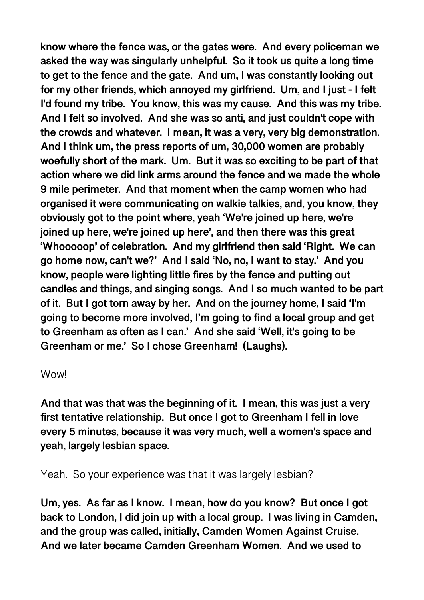**know where the fence was, or the gates were. And every policeman we asked the way was singularly unhelpful. So it took us quite a long time to get to the fence and the gate. And um, I was constantly looking out for my other friends, which annoyed my girlfriend. Um, and I just - I felt I'd found my tribe. You know, this was my cause. And this was my tribe. And I felt so involved. And she was so anti, and just couldn't cope with the crowds and whatever. I mean, it was a very, very big demonstration. And I think um, the press reports of um, 30,000 women are probably woefully short of the mark. Um. But it was so exciting to be part of that action where we did link arms around the fence and we made the whole 9 mile perimeter. And that moment when the camp women who had organised it were communicating on walkie talkies, and, you know, they obviously got to the point where, yeah 'We're joined up here, we're joined up here, we're joined up here', and then there was this great 'Whooooop' of celebration. And my girlfriend then said 'Right. We can go home now, can't we?' And I said 'No, no, I want to stay.' And you know, people were lighting little fires by the fence and putting out candles and things, and singing songs. And I so much wanted to be part of it. But I got torn away by her. And on the journey home, I said 'I'm going to become more involved, I'm going to find a local group and get to Greenham as often as I can.' And she said 'Well, it's going to be Greenham or me.' So I chose Greenham! (Laughs).** 

Wow!

**And that was that was the beginning of it. I mean, this was just a very first tentative relationship. But once I got to Greenham I fell in love every 5 minutes, because it was very much, well a women's space and yeah, largely lesbian space.** 

Yeah. So your experience was that it was largely lesbian?

**Um, yes. As far as I know. I mean, how do you know? But once I got back to London, I did join up with a local group. I was living in Camden, and the group was called, initially, Camden Women Against Cruise. And we later became Camden Greenham Women. And we used to**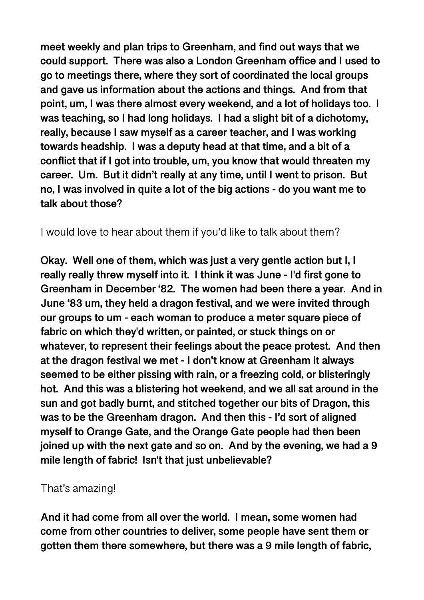**meet weekly and plan trips to Greenham, and find out ways that we could support. There was also a London Greenham office and I used to go to meetings there, where they sort of coordinated the local groups and gave us information about the actions and things. And from that point, um, I was there almost every weekend, and a lot of holidays too. I was teaching, so I had long holidays. I had a slight bit of a dichotomy, really, because I saw myself as a career teacher, and I was working towards headship. I was a deputy head at that time, and a bit of a conflict that if I got into trouble, um, you know that would threaten my career. Um. But it didn't really at any time, until I went to prison. But no, I was involved in quite a lot of the big actions - do you want me to talk about those?** 

I would love to hear about them if you'd like to talk about them?

**Okay. Well one of them, which was just a very gentle action but I, I really really threw myself into it. I think it was June - I'd first gone to Greenham in December '82. The women had been there a year. And in June '83 um, they held a dragon festival, and we were invited through our groups to um - each woman to produce a meter square piece of fabric on which they'd written, or painted, or stuck things on or whatever, to represent their feelings about the peace protest. And then at the dragon festival we met - I don't know at Greenham it always seemed to be either pissing with rain, or a freezing cold, or blisteringly hot. And this was a blistering hot weekend, and we all sat around in the sun and got badly burnt, and stitched together our bits of Dragon, this was to be the Greenham dragon. And then this - I'd sort of aligned myself to Orange Gate, and the Orange Gate people had then been joined up with the next gate and so on. And by the evening, we had a 9 mile length of fabric! Isn't that just unbelievable?** 

### That's amazing!

**And it had come from all over the world. I mean, some women had come from other countries to deliver, some people have sent them or gotten them there somewhere, but there was a 9 mile length of fabric,**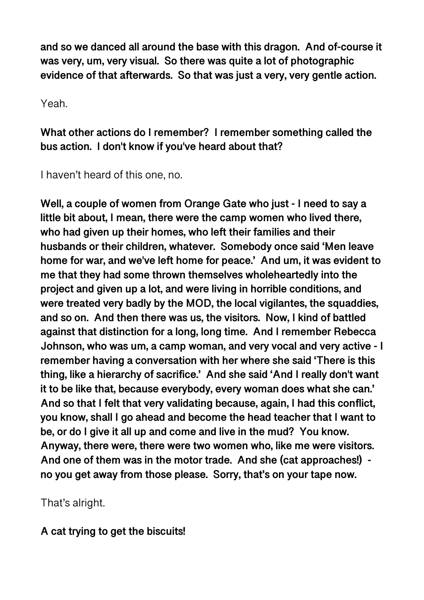**and so we danced all around the base with this dragon. And of-course it was very, um, very visual. So there was quite a lot of photographic evidence of that afterwards. So that was just a very, very gentle action.** 

Yeah.

**What other actions do I remember? I remember something called the bus action. I don't know if you've heard about that?** 

I haven't heard of this one, no.

**Well, a couple of women from Orange Gate who just - I need to say a little bit about, I mean, there were the camp women who lived there, who had given up their homes, who left their families and their husbands or their children, whatever. Somebody once said 'Men leave home for war, and we've left home for peace.' And um, it was evident to me that they had some thrown themselves wholeheartedly into the project and given up a lot, and were living in horrible conditions, and were treated very badly by the MOD, the local vigilantes, the squaddies, and so on. And then there was us, the visitors. Now, I kind of battled against that distinction for a long, long time. And I remember Rebecca Johnson, who was um, a camp woman, and very vocal and very active - I remember having a conversation with her where she said 'There is this thing, like a hierarchy of sacrifice.' And she said 'And I really don't want it to be like that, because everybody, every woman does what she can.' And so that I felt that very validating because, again, I had this conflict, you know, shall I go ahead and become the head teacher that I want to be, or do I give it all up and come and live in the mud? You know. Anyway, there were, there were two women who, like me were visitors. And one of them was in the motor trade. And she (cat approaches!) no you get away from those please. Sorry, that's on your tape now.** 

That's alright.

**A cat trying to get the biscuits!**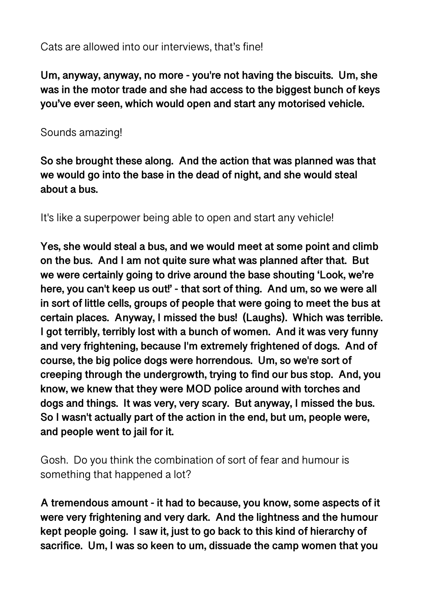### Cats are allowed into our interviews, that's fine!

**Um, anyway, anyway, no more - you're not having the biscuits. Um, she was in the motor trade and she had access to the biggest bunch of keys you've ever seen, which would open and start any motorised vehicle.**

### Sounds amazing!

**So she brought these along. And the action that was planned was that we would go into the base in the dead of night, and she would steal about a bus.** 

It's like a superpower being able to open and start any vehicle!

**Yes, she would steal a bus, and we would meet at some point and climb on the bus. And I am not quite sure what was planned after that. But we were certainly going to drive around the base shouting 'Look, we're here, you can't keep us out!' - that sort of thing. And um, so we were all in sort of little cells, groups of people that were going to meet the bus at certain places. Anyway, I missed the bus! (Laughs). Which was terrible. I got terribly, terribly lost with a bunch of women. And it was very funny and very frightening, because I'm extremely frightened of dogs. And of course, the big police dogs were horrendous. Um, so we're sort of creeping through the undergrowth, trying to find our bus stop. And, you know, we knew that they were MOD police around with torches and dogs and things. It was very, very scary. But anyway, I missed the bus. So I wasn't actually part of the action in the end, but um, people were, and people went to jail for it.** 

Gosh. Do you think the combination of sort of fear and humour is something that happened a lot?

**A tremendous amount - it had to because, you know, some aspects of it were very frightening and very dark. And the lightness and the humour kept people going. I saw it, just to go back to this kind of hierarchy of sacrifice. Um, I was so keen to um, dissuade the camp women that you**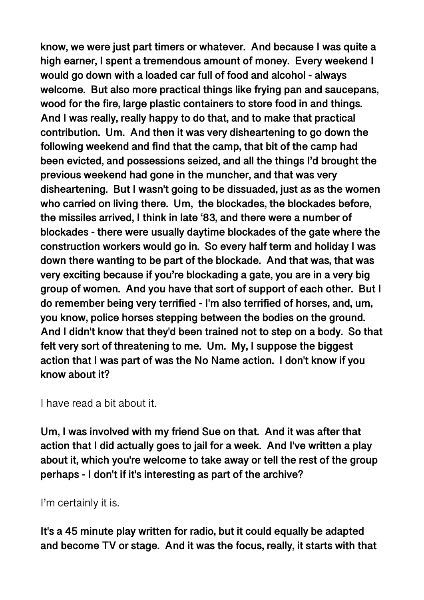**know, we were just part timers or whatever. And because I was quite a high earner, I spent a tremendous amount of money. Every weekend I would go down with a loaded car full of food and alcohol - always welcome. But also more practical things like frying pan and saucepans, wood for the fire, large plastic containers to store food in and things. And I was really, really happy to do that, and to make that practical contribution. Um. And then it was very disheartening to go down the following weekend and find that the camp, that bit of the camp had been evicted, and possessions seized, and all the things I'd brought the previous weekend had gone in the muncher, and that was very disheartening. But I wasn't going to be dissuaded, just as as the women who carried on living there. Um, the blockades, the blockades before, the missiles arrived, I think in late '83, and there were a number of blockades - there were usually daytime blockades of the gate where the construction workers would go in. So every half term and holiday I was down there wanting to be part of the blockade. And that was, that was very exciting because if you're blockading a gate, you are in a very big group of women. And you have that sort of support of each other. But I do remember being very terrified - I'm also terrified of horses, and, um, you know, police horses stepping between the bodies on the ground. And I didn't know that they'd been trained not to step on a body. So that felt very sort of threatening to me. Um. My, I suppose the biggest action that I was part of was the No Name action. I don't know if you know about it?** 

I have read a bit about it.

**Um, I was involved with my friend Sue on that. And it was after that action that I did actually goes to jail for a week. And I've written a play about it, which you're welcome to take away or tell the rest of the group perhaps - I don't if it's interesting as part of the archive?** 

I'm certainly it is.

**It's a 45 minute play written for radio, but it could equally be adapted and become TV or stage. And it was the focus, really, it starts with that**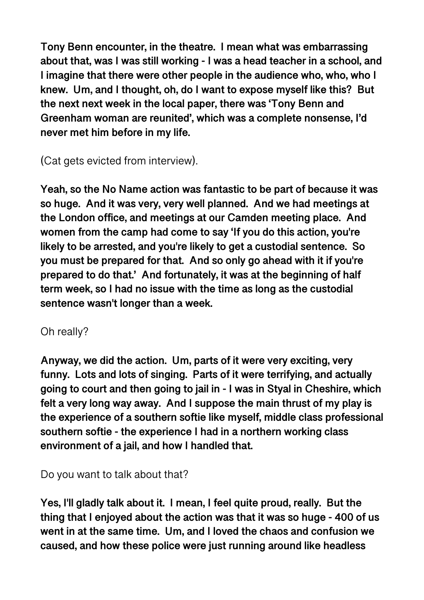**Tony Benn encounter, in the theatre. I mean what was embarrassing about that, was I was still working - I was a head teacher in a school, and I imagine that there were other people in the audience who, who, who I knew. Um, and I thought, oh, do I want to expose myself like this? But the next next week in the local paper, there was 'Tony Benn and Greenham woman are reunited', which was a complete nonsense, I'd never met him before in my life.** 

(Cat gets evicted from interview).

**Yeah, so the No Name action was fantastic to be part of because it was so huge. And it was very, very well planned. And we had meetings at the London office, and meetings at our Camden meeting place. And women from the camp had come to say 'If you do this action, you're likely to be arrested, and you're likely to get a custodial sentence. So you must be prepared for that. And so only go ahead with it if you're prepared to do that.' And fortunately, it was at the beginning of half term week, so I had no issue with the time as long as the custodial sentence wasn't longer than a week.** 

### Oh really?

**Anyway, we did the action. Um, parts of it were very exciting, very funny. Lots and lots of singing. Parts of it were terrifying, and actually going to court and then going to jail in - I was in Styal in Cheshire, which felt a very long way away. And I suppose the main thrust of my play is the experience of a southern softie like myself, middle class professional southern softie - the experience I had in a northern working class environment of a jail, and how I handled that.** 

Do you want to talk about that?

**Yes, I'll gladly talk about it. I mean, I feel quite proud, really. But the thing that I enjoyed about the action was that it was so huge - 400 of us went in at the same time. Um, and I loved the chaos and confusion we caused, and how these police were just running around like headless**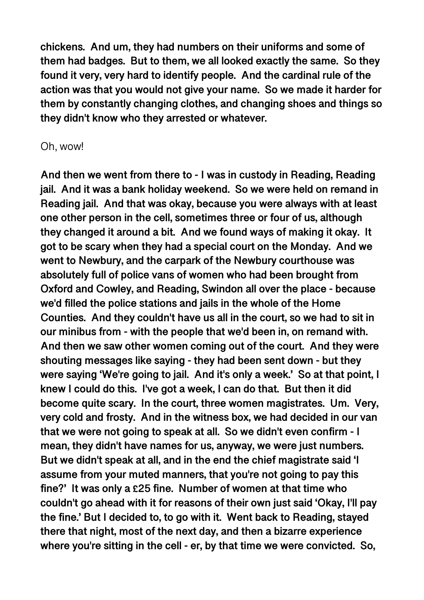**chickens. And um, they had numbers on their uniforms and some of them had badges. But to them, we all looked exactly the same. So they found it very, very hard to identify people. And the cardinal rule of the action was that you would not give your name. So we made it harder for them by constantly changing clothes, and changing shoes and things so they didn't know who they arrested or whatever.** 

#### Oh, wow!

**And then we went from there to - I was in custody in Reading, Reading jail. And it was a bank holiday weekend. So we were held on remand in Reading jail. And that was okay, because you were always with at least one other person in the cell, sometimes three or four of us, although they changed it around a bit. And we found ways of making it okay. It got to be scary when they had a special court on the Monday. And we went to Newbury, and the carpark of the Newbury courthouse was absolutely full of police vans of women who had been brought from Oxford and Cowley, and Reading, Swindon all over the place - because we'd filled the police stations and jails in the whole of the Home Counties. And they couldn't have us all in the court, so we had to sit in our minibus from - with the people that we'd been in, on remand with. And then we saw other women coming out of the court. And they were shouting messages like saying - they had been sent down - but they were saying 'We're going to jail. And it's only a week.' So at that point, I knew I could do this. I've got a week, I can do that. But then it did become quite scary. In the court, three women magistrates. Um. Very, very cold and frosty. And in the witness box, we had decided in our van that we were not going to speak at all. So we didn't even confirm - I mean, they didn't have names for us, anyway, we were just numbers. But we didn't speak at all, and in the end the chief magistrate said 'I assume from your muted manners, that you're not going to pay this fine?' It was only a £25 fine. Number of women at that time who couldn't go ahead with it for reasons of their own just said 'Okay, I'll pay the fine.' But I decided to, to go with it. Went back to Reading, stayed there that night, most of the next day, and then a bizarre experience where you're sitting in the cell - er, by that time we were convicted. So,**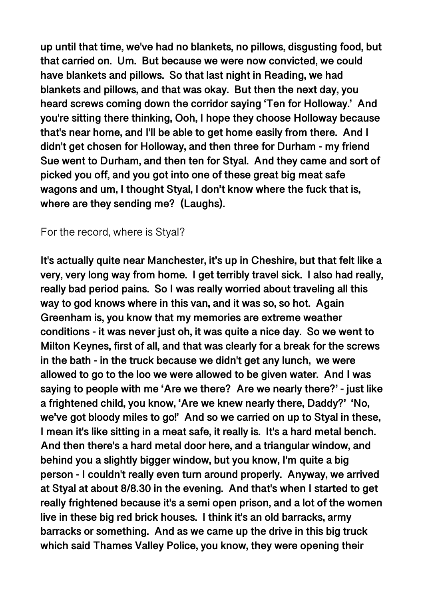**up until that time, we've had no blankets, no pillows, disgusting food, but that carried on. Um. But because we were now convicted, we could have blankets and pillows. So that last night in Reading, we had blankets and pillows, and that was okay. But then the next day, you heard screws coming down the corridor saying 'Ten for Holloway.' And you're sitting there thinking, Ooh, I hope they choose Holloway because that's near home, and I'll be able to get home easily from there. And I didn't get chosen for Holloway, and then three for Durham - my friend Sue went to Durham, and then ten for Styal. And they came and sort of picked you off, and you got into one of these great big meat safe wagons and um, I thought Styal, I don't know where the fuck that is, where are they sending me? (Laughs).** 

#### For the record, where is Styal?

**It's actually quite near Manchester, it's up in Cheshire, but that felt like a very, very long way from home. I get terribly travel sick. I also had really, really bad period pains. So I was really worried about traveling all this way to god knows where in this van, and it was so, so hot. Again Greenham is, you know that my memories are extreme weather conditions - it was never just oh, it was quite a nice day. So we went to Milton Keynes, first of all, and that was clearly for a break for the screws in the bath - in the truck because we didn't get any lunch, we were allowed to go to the loo we were allowed to be given water. And I was saying to people with me 'Are we there? Are we nearly there?' - just like a frightened child, you know, 'Are we knew nearly there, Daddy?' 'No, we've got bloody miles to go!' And so we carried on up to Styal in these, I mean it's like sitting in a meat safe, it really is. It's a hard metal bench. And then there's a hard metal door here, and a triangular window, and behind you a slightly bigger window, but you know, I'm quite a big person - I couldn't really even turn around properly. Anyway, we arrived at Styal at about 8/8.30 in the evening. And that's when I started to get really frightened because it's a semi open prison, and a lot of the women live in these big red brick houses. I think it's an old barracks, army barracks or something. And as we came up the drive in this big truck which said Thames Valley Police, you know, they were opening their**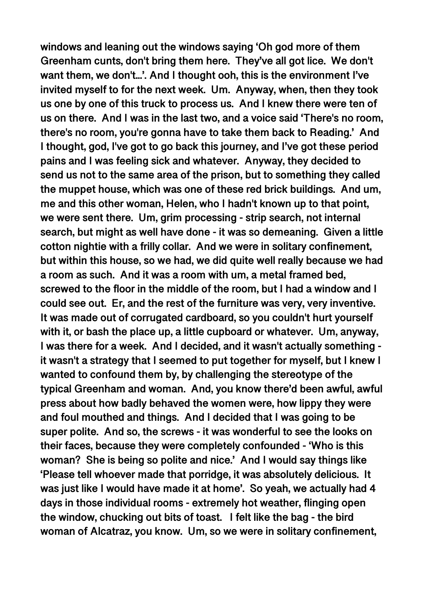**windows and leaning out the windows saying 'Oh god more of them Greenham cunts, don't bring them here. They've all got lice. We don't want them, we don't...'. And I thought ooh, this is the environment I've invited myself to for the next week. Um. Anyway, when, then they took us one by one of this truck to process us. And I knew there were ten of us on there. And I was in the last two, and a voice said 'There's no room, there's no room, you're gonna have to take them back to Reading.' And I thought, god, I've got to go back this journey, and I've got these period pains and I was feeling sick and whatever. Anyway, they decided to send us not to the same area of the prison, but to something they called the muppet house, which was one of these red brick buildings. And um, me and this other woman, Helen, who I hadn't known up to that point, we were sent there. Um, grim processing - strip search, not internal search, but might as well have done - it was so demeaning. Given a little cotton nightie with a frilly collar. And we were in solitary confinement, but within this house, so we had, we did quite well really because we had a room as such. And it was a room with um, a metal framed bed, screwed to the floor in the middle of the room, but I had a window and I could see out. Er, and the rest of the furniture was very, very inventive. It was made out of corrugated cardboard, so you couldn't hurt yourself with it, or bash the place up, a little cupboard or whatever. Um, anyway, I was there for a week. And I decided, and it wasn't actually something it wasn't a strategy that I seemed to put together for myself, but I knew I wanted to confound them by, by challenging the stereotype of the typical Greenham and woman. And, you know there'd been awful, awful press about how badly behaved the women were, how lippy they were and foul mouthed and things. And I decided that I was going to be super polite. And so, the screws - it was wonderful to see the looks on their faces, because they were completely confounded - 'Who is this woman? She is being so polite and nice.' And I would say things like 'Please tell whoever made that porridge, it was absolutely delicious. It was just like I would have made it at home'. So yeah, we actually had 4 days in those individual rooms - extremely hot weather, flinging open the window, chucking out bits of toast. I felt like the bag - the bird woman of Alcatraz, you know. Um, so we were in solitary confinement,**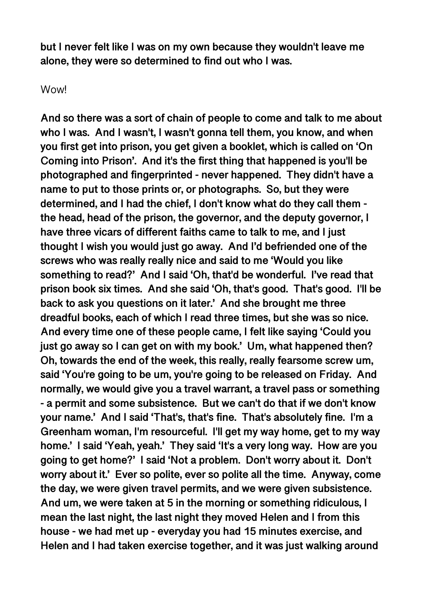**but I never felt like I was on my own because they wouldn't leave me alone, they were so determined to find out who I was.** 

#### Wow!

**And so there was a sort of chain of people to come and talk to me about who I was. And I wasn't, I wasn't gonna tell them, you know, and when you first get into prison, you get given a booklet, which is called on 'On Coming into Prison'. And it's the first thing that happened is you'll be photographed and fingerprinted - never happened. They didn't have a name to put to those prints or, or photographs. So, but they were determined, and I had the chief, I don't know what do they call them the head, head of the prison, the governor, and the deputy governor, I have three vicars of different faiths came to talk to me, and I just thought I wish you would just go away. And I'd befriended one of the screws who was really really nice and said to me 'Would you like something to read?' And I said 'Oh, that'd be wonderful. I've read that prison book six times. And she said 'Oh, that's good. That's good. I'll be back to ask you questions on it later.' And she brought me three dreadful books, each of which I read three times, but she was so nice. And every time one of these people came, I felt like saying 'Could you just go away so I can get on with my book.' Um, what happened then? Oh, towards the end of the week, this really, really fearsome screw um, said 'You're going to be um, you're going to be released on Friday. And normally, we would give you a travel warrant, a travel pass or something - a permit and some subsistence. But we can't do that if we don't know your name.' And I said 'That's, that's fine. That's absolutely fine. I'm a Greenham woman, I'm resourceful. I'll get my way home, get to my way home.' I said 'Yeah, yeah.' They said 'It's a very long way. How are you going to get home?' I said 'Not a problem. Don't worry about it. Don't worry about it.' Ever so polite, ever so polite all the time. Anyway, come the day, we were given travel permits, and we were given subsistence. And um, we were taken at 5 in the morning or something ridiculous, I mean the last night, the last night they moved Helen and I from this house - we had met up - everyday you had 15 minutes exercise, and Helen and I had taken exercise together, and it was just walking around**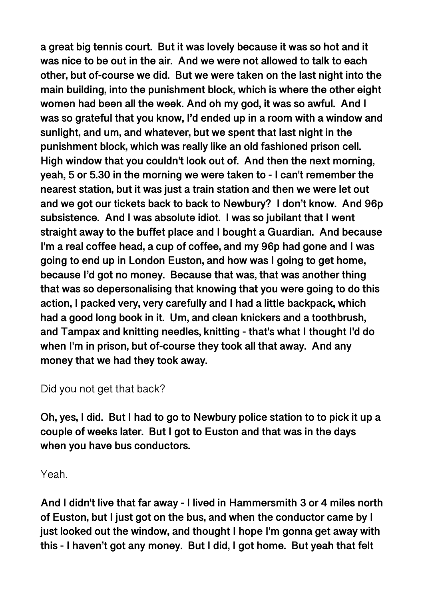**a great big tennis court. But it was lovely because it was so hot and it was nice to be out in the air. And we were not allowed to talk to each other, but of-course we did. But we were taken on the last night into the main building, into the punishment block, which is where the other eight women had been all the week. And oh my god, it was so awful. And I was so grateful that you know, I'd ended up in a room with a window and sunlight, and um, and whatever, but we spent that last night in the punishment block, which was really like an old fashioned prison cell. High window that you couldn't look out of. And then the next morning, yeah, 5 or 5.30 in the morning we were taken to - I can't remember the nearest station, but it was just a train station and then we were let out and we got our tickets back to back to Newbury? I don't know. And 96p subsistence. And I was absolute idiot. I was so jubilant that I went straight away to the buffet place and I bought a Guardian. And because I'm a real coffee head, a cup of coffee, and my 96p had gone and I was going to end up in London Euston, and how was I going to get home, because I'd got no money. Because that was, that was another thing that was so depersonalising that knowing that you were going to do this action, I packed very, very carefully and I had a little backpack, which had a good long book in it. Um, and clean knickers and a toothbrush, and Tampax and knitting needles, knitting - that's what I thought I'd do when I'm in prison, but of-course they took all that away. And any money that we had they took away.** 

Did you not get that back?

**Oh, yes, I did. But I had to go to Newbury police station to to pick it up a couple of weeks later. But I got to Euston and that was in the days when you have bus conductors.** 

Yeah.

**And I didn't live that far away - I lived in Hammersmith 3 or 4 miles north of Euston, but I just got on the bus, and when the conductor came by I just looked out the window, and thought I hope I'm gonna get away with this - I haven't got any money. But I did, I got home. But yeah that felt**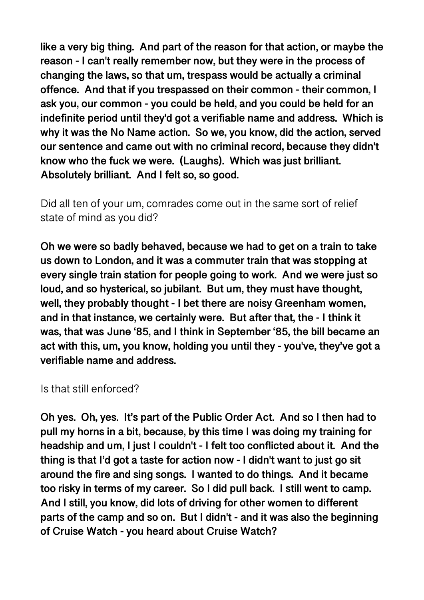**like a very big thing. And part of the reason for that action, or maybe the reason - I can't really remember now, but they were in the process of changing the laws, so that um, trespass would be actually a criminal offence. And that if you trespassed on their common - their common, I ask you, our common - you could be held, and you could be held for an indefinite period until they'd got a verifiable name and address. Which is why it was the No Name action. So we, you know, did the action, served our sentence and came out with no criminal record, because they didn't know who the fuck we were. (Laughs). Which was just brilliant. Absolutely brilliant. And I felt so, so good.** 

Did all ten of your um, comrades come out in the same sort of relief state of mind as you did?

**Oh we were so badly behaved, because we had to get on a train to take us down to London, and it was a commuter train that was stopping at every single train station for people going to work. And we were just so loud, and so hysterical, so jubilant. But um, they must have thought, well, they probably thought - I bet there are noisy Greenham women, and in that instance, we certainly were. But after that, the - I think it was, that was June '85, and I think in September '85, the bill became an act with this, um, you know, holding you until they - you've, they've got a verifiable name and address.** 

Is that still enforced?

**Oh yes. Oh, yes. It's part of the Public Order Act. And so I then had to pull my horns in a bit, because, by this time I was doing my training for headship and um, I just I couldn't - I felt too conflicted about it. And the thing is that I'd got a taste for action now - I didn't want to just go sit around the fire and sing songs. I wanted to do things. And it became too risky in terms of my career. So I did pull back. I still went to camp. And I still, you know, did lots of driving for other women to different parts of the camp and so on. But I didn't - and it was also the beginning of Cruise Watch - you heard about Cruise Watch?**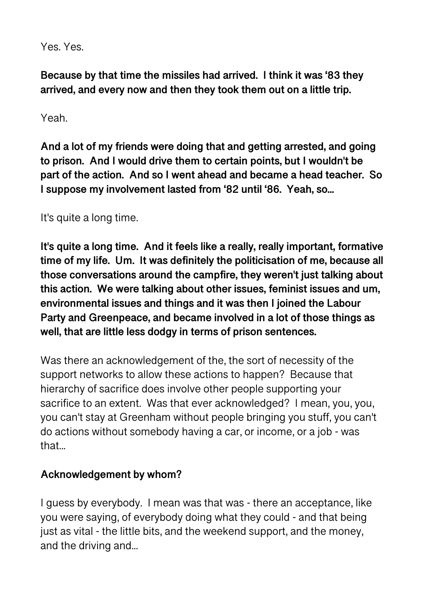Yes. Yes.

**Because by that time the missiles had arrived. I think it was '83 they arrived, and every now and then they took them out on a little trip.** 

Yeah.

**And a lot of my friends were doing that and getting arrested, and going to prison. And I would drive them to certain points, but I wouldn't be part of the action. And so I went ahead and became a head teacher. So I suppose my involvement lasted from '82 until '86. Yeah, so...** 

It's quite a long time.

**It's quite a long time. And it feels like a really, really important, formative time of my life. Um. It was definitely the politicisation of me, because all those conversations around the campfire, they weren't just talking about this action. We were talking about other issues, feminist issues and um, environmental issues and things and it was then I joined the Labour Party and Greenpeace, and became involved in a lot of those things as well, that are little less dodgy in terms of prison sentences.** 

Was there an acknowledgement of the, the sort of necessity of the support networks to allow these actions to happen? Because that hierarchy of sacrifice does involve other people supporting your sacrifice to an extent. Was that ever acknowledged? I mean, you, you, you can't stay at Greenham without people bringing you stuff, you can't do actions without somebody having a car, or income, or a job - was that...

#### **Acknowledgement by whom?**

I guess by everybody. I mean was that was - there an acceptance, like you were saying, of everybody doing what they could - and that being just as vital - the little bits, and the weekend support, and the money, and the driving and...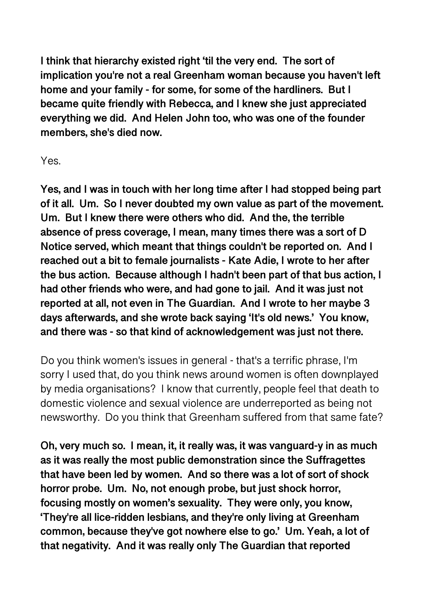**I think that hierarchy existed right 'til the very end. The sort of implication you're not a real Greenham woman because you haven't left home and your family - for some, for some of the hardliners. But I became quite friendly with Rebecca, and I knew she just appreciated everything we did. And Helen John too, who was one of the founder members, she's died now.** 

Yes.

**Yes, and I was in touch with her long time after I had stopped being part of it all. Um. So I never doubted my own value as part of the movement. Um. But I knew there were others who did. And the, the terrible absence of press coverage, I mean, many times there was a sort of D Notice served, which meant that things couldn't be reported on. And I reached out a bit to female journalists - Kate Adie, I wrote to her after the bus action. Because although I hadn't been part of that bus action, I had other friends who were, and had gone to jail. And it was just not reported at all, not even in The Guardian. And I wrote to her maybe 3 days afterwards, and she wrote back saying 'It's old news.' You know, and there was - so that kind of acknowledgement was just not there.** 

Do you think women's issues in general - that's a terrific phrase, I'm sorry I used that, do you think news around women is often downplayed by media organisations? I know that currently, people feel that death to domestic violence and sexual violence are underreported as being not newsworthy. Do you think that Greenham suffered from that same fate?

**Oh, very much so. I mean, it, it really was, it was vanguard-y in as much as it was really the most public demonstration since the Suffragettes that have been led by women. And so there was a lot of sort of shock horror probe. Um. No, not enough probe, but just shock horror, focusing mostly on women's sexuality. They were only, you know, 'They're all lice-ridden lesbians, and they're only living at Greenham common, because they've got nowhere else to go.' Um. Yeah, a lot of that negativity. And it was really only The Guardian that reported**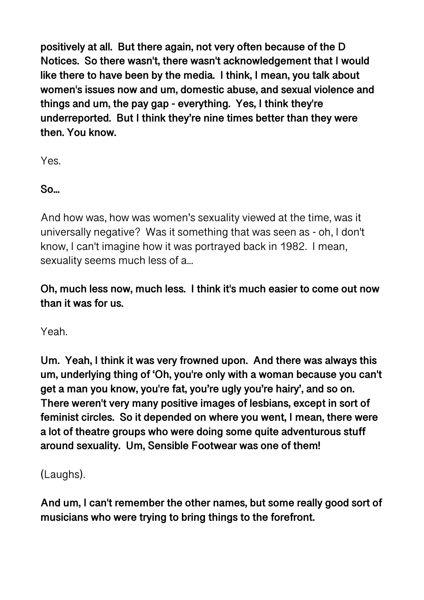**positively at all. But there again, not very often because of the D Notices. So there wasn't, there wasn't acknowledgement that I would like there to have been by the media. I think, I mean, you talk about women's issues now and um, domestic abuse, and sexual violence and things and um, the pay gap - everything. Yes, I think they're underreported. But I think they're nine times better than they were then. You know.** 

Yes.

**So...** 

And how was, how was women's sexuality viewed at the time, was it universally negative? Was it something that was seen as - oh, I don't know, I can't imagine how it was portrayed back in 1982. I mean, sexuality seems much less of a...

**Oh, much less now, much less. I think it's much easier to come out now than it was for us.** 

Yeah.

**Um. Yeah, I think it was very frowned upon. And there was always this um, underlying thing of 'Oh, you're only with a woman because you can't get a man you know, you're fat, you're ugly you're hairy', and so on. There weren't very many positive images of lesbians, except in sort of feminist circles. So it depended on where you went, I mean, there were a lot of theatre groups who were doing some quite adventurous stuff around sexuality. Um, Sensible Footwear was one of them!** 

(Laughs).

**And um, I can't remember the other names, but some really good sort of musicians who were trying to bring things to the forefront.**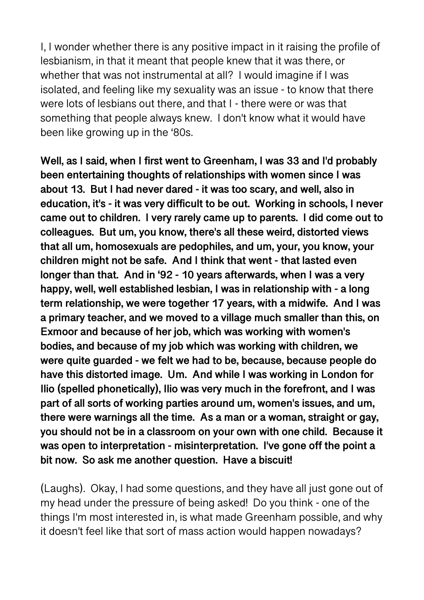I, I wonder whether there is any positive impact in it raising the profile of lesbianism, in that it meant that people knew that it was there, or whether that was not instrumental at all? I would imagine if I was isolated, and feeling like my sexuality was an issue - to know that there were lots of lesbians out there, and that I - there were or was that something that people always knew. I don't know what it would have been like growing up in the '80s.

**Well, as I said, when I first went to Greenham, I was 33 and I'd probably been entertaining thoughts of relationships with women since I was about 13. But I had never dared - it was too scary, and well, also in education, it's - it was very difficult to be out. Working in schools, I never came out to children. I very rarely came up to parents. I did come out to colleagues. But um, you know, there's all these weird, distorted views that all um, homosexuals are pedophiles, and um, your, you know, your children might not be safe. And I think that went - that lasted even longer than that. And in '92 - 10 years afterwards, when I was a very happy, well, well established lesbian, I was in relationship with - a long term relationship, we were together 17 years, with a midwife. And I was a primary teacher, and we moved to a village much smaller than this, on Exmoor and because of her job, which was working with women's bodies, and because of my job which was working with children, we were quite guarded - we felt we had to be, because, because people do have this distorted image. Um. And while I was working in London for Ilio (spelled phonetically), Ilio was very much in the forefront, and I was part of all sorts of working parties around um, women's issues, and um, there were warnings all the time. As a man or a woman, straight or gay, you should not be in a classroom on your own with one child. Because it was open to interpretation - misinterpretation. I've gone off the point a bit now. So ask me another question. Have a biscuit!** 

(Laughs). Okay, I had some questions, and they have all just gone out of my head under the pressure of being asked! Do you think - one of the things I'm most interested in, is what made Greenham possible, and why it doesn't feel like that sort of mass action would happen nowadays?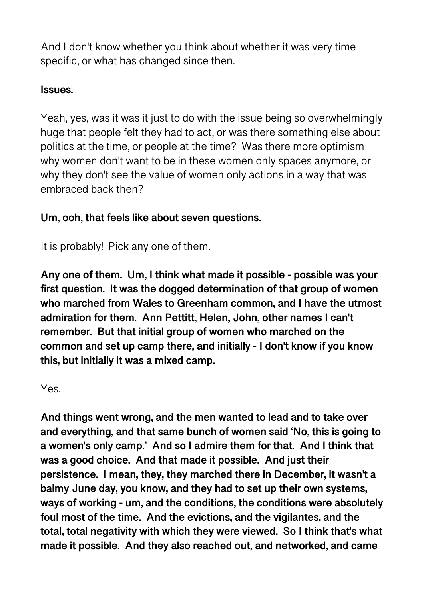And I don't know whether you think about whether it was very time specific, or what has changed since then.

### **Issues.**

Yeah, yes, was it was it just to do with the issue being so overwhelmingly huge that people felt they had to act, or was there something else about politics at the time, or people at the time? Was there more optimism why women don't want to be in these women only spaces anymore, or why they don't see the value of women only actions in a way that was embraced back then?

### **Um, ooh, that feels like about seven questions.**

It is probably! Pick any one of them.

**Any one of them. Um, I think what made it possible - possible was your first question. It was the dogged determination of that group of women who marched from Wales to Greenham common, and I have the utmost admiration for them. Ann Pettitt, Helen, John, other names I can't remember. But that initial group of women who marched on the common and set up camp there, and initially - I don't know if you know this, but initially it was a mixed camp.** 

Yes.

**And things went wrong, and the men wanted to lead and to take over and everything, and that same bunch of women said 'No, this is going to a women's only camp.' And so I admire them for that. And I think that was a good choice. And that made it possible. And just their persistence. I mean, they, they marched there in December, it wasn't a balmy June day, you know, and they had to set up their own systems, ways of working - um, and the conditions, the conditions were absolutely foul most of the time. And the evictions, and the vigilantes, and the total, total negativity with which they were viewed. So I think that's what made it possible. And they also reached out, and networked, and came**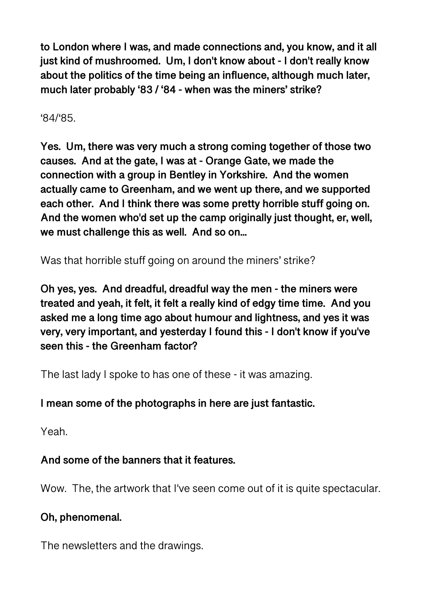**to London where I was, and made connections and, you know, and it all just kind of mushroomed. Um, I don't know about - I don't really know about the politics of the time being an influence, although much later, much later probably '83 / '84 - when was the miners' strike?** 

'84/'85.

**Yes. Um, there was very much a strong coming together of those two causes. And at the gate, I was at - Orange Gate, we made the connection with a group in Bentley in Yorkshire. And the women actually came to Greenham, and we went up there, and we supported each other. And I think there was some pretty horrible stuff going on. And the women who'd set up the camp originally just thought, er, well, we must challenge this as well. And so on...** 

Was that horrible stuff going on around the miners' strike?

**Oh yes, yes. And dreadful, dreadful way the men - the miners were treated and yeah, it felt, it felt a really kind of edgy time time. And you asked me a long time ago about humour and lightness, and yes it was very, very important, and yesterday I found this - I don't know if you've seen this - the Greenham factor?** 

The last lady I spoke to has one of these - it was amazing.

### **I mean some of the photographs in here are just fantastic.**

Yeah.

# **And some of the banners that it features.**

Wow. The, the artwork that I've seen come out of it is quite spectacular.

### **Oh, phenomenal.**

The newsletters and the drawings.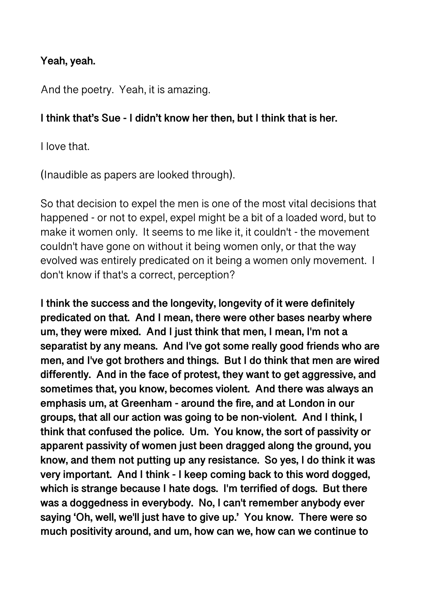### **Yeah, yeah.**

And the poetry. Yeah, it is amazing.

### **I think that's Sue - I didn't know her then, but I think that is her.**

I love that.

(Inaudible as papers are looked through).

So that decision to expel the men is one of the most vital decisions that happened - or not to expel, expel might be a bit of a loaded word, but to make it women only. It seems to me like it, it couldn't - the movement couldn't have gone on without it being women only, or that the way evolved was entirely predicated on it being a women only movement. I don't know if that's a correct, perception?

**I think the success and the longevity, longevity of it were definitely predicated on that. And I mean, there were other bases nearby where um, they were mixed. And I just think that men, I mean, I'm not a separatist by any means. And I've got some really good friends who are men, and I've got brothers and things. But I do think that men are wired differently. And in the face of protest, they want to get aggressive, and sometimes that, you know, becomes violent. And there was always an emphasis um, at Greenham - around the fire, and at London in our groups, that all our action was going to be non-violent. And I think, I think that confused the police. Um. You know, the sort of passivity or apparent passivity of women just been dragged along the ground, you know, and them not putting up any resistance. So yes, I do think it was very important. And I think - I keep coming back to this word dogged, which is strange because I hate dogs. I'm terrified of dogs. But there was a doggedness in everybody. No, I can't remember anybody ever saying 'Oh, well, we'll just have to give up.' You know. There were so much positivity around, and um, how can we, how can we continue to**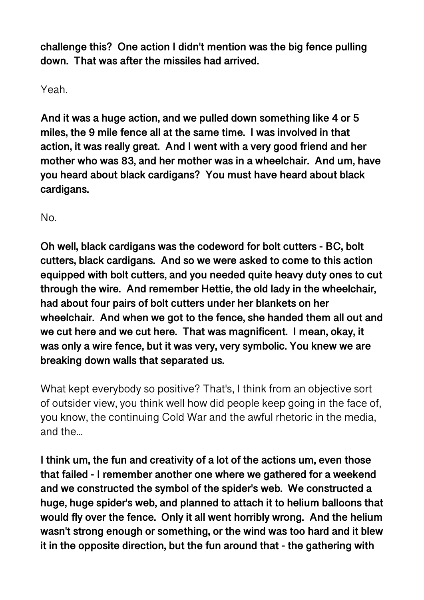**challenge this? One action I didn't mention was the big fence pulling down. That was after the missiles had arrived.** 

Yeah.

**And it was a huge action, and we pulled down something like 4 or 5 miles, the 9 mile fence all at the same time. I was involved in that action, it was really great. And I went with a very good friend and her mother who was 83, and her mother was in a wheelchair. And um, have you heard about black cardigans? You must have heard about black cardigans.** 

No.

**Oh well, black cardigans was the codeword for bolt cutters - BC, bolt cutters, black cardigans. And so we were asked to come to this action equipped with bolt cutters, and you needed quite heavy duty ones to cut through the wire. And remember Hettie, the old lady in the wheelchair, had about four pairs of bolt cutters under her blankets on her wheelchair. And when we got to the fence, she handed them all out and we cut here and we cut here. That was magnificent. I mean, okay, it was only a wire fence, but it was very, very symbolic. You knew we are breaking down walls that separated us.** 

What kept everybody so positive? That's, I think from an objective sort of outsider view, you think well how did people keep going in the face of, you know, the continuing Cold War and the awful rhetoric in the media, and the...

**I think um, the fun and creativity of a lot of the actions um, even those that failed - I remember another one where we gathered for a weekend and we constructed the symbol of the spider's web. We constructed a huge, huge spider's web, and planned to attach it to helium balloons that would fly over the fence. Only it all went horribly wrong. And the helium wasn't strong enough or something, or the wind was too hard and it blew it in the opposite direction, but the fun around that - the gathering with**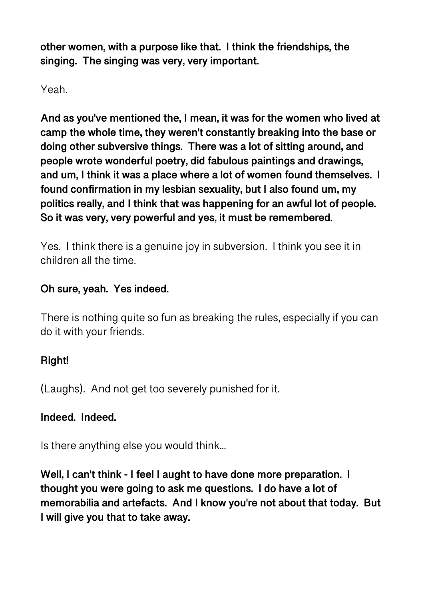**other women, with a purpose like that. I think the friendships, the singing. The singing was very, very important.** 

Yeah.

**And as you've mentioned the, I mean, it was for the women who lived at camp the whole time, they weren't constantly breaking into the base or doing other subversive things. There was a lot of sitting around, and people wrote wonderful poetry, did fabulous paintings and drawings, and um, I think it was a place where a lot of women found themselves. I found confirmation in my lesbian sexuality, but I also found um, my politics really, and I think that was happening for an awful lot of people. So it was very, very powerful and yes, it must be remembered.** 

Yes. I think there is a genuine joy in subversion. I think you see it in children all the time.

## **Oh sure, yeah. Yes indeed.**

There is nothing quite so fun as breaking the rules, especially if you can do it with your friends.

# **Right!**

(Laughs). And not get too severely punished for it.

### **Indeed. Indeed.**

Is there anything else you would think...

**Well, I can't think - I feel I aught to have done more preparation. I thought you were going to ask me questions. I do have a lot of memorabilia and artefacts. And I know you're not about that today. But I will give you that to take away.**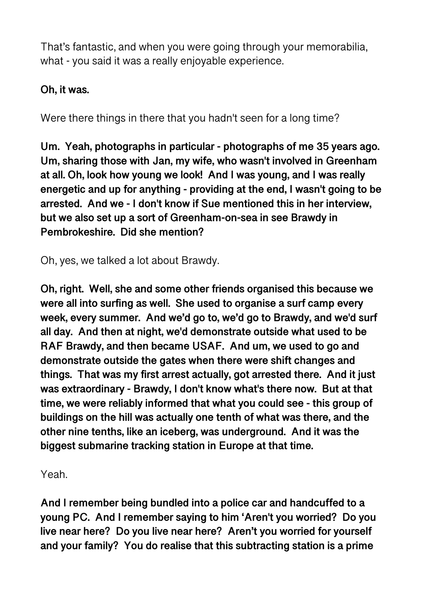That's fantastic, and when you were going through your memorabilia, what - you said it was a really enjoyable experience.

## **Oh, it was.**

Were there things in there that you hadn't seen for a long time?

**Um. Yeah, photographs in particular - photographs of me 35 years ago. Um, sharing those with Jan, my wife, who wasn't involved in Greenham at all. Oh, look how young we look! And I was young, and I was really energetic and up for anything - providing at the end, I wasn't going to be arrested. And we - I don't know if Sue mentioned this in her interview, but we also set up a sort of Greenham-on-sea in see Brawdy in Pembrokeshire. Did she mention?** 

Oh, yes, we talked a lot about Brawdy.

**Oh, right. Well, she and some other friends organised this because we were all into surfing as well. She used to organise a surf camp every week, every summer. And we'd go to, we'd go to Brawdy, and we'd surf all day. And then at night, we'd demonstrate outside what used to be RAF Brawdy, and then became USAF. And um, we used to go and demonstrate outside the gates when there were shift changes and things. That was my first arrest actually, got arrested there. And it just was extraordinary - Brawdy, I don't know what's there now. But at that time, we were reliably informed that what you could see - this group of buildings on the hill was actually one tenth of what was there, and the other nine tenths, like an iceberg, was underground. And it was the biggest submarine tracking station in Europe at that time.** 

Yeah.

**And I remember being bundled into a police car and handcuffed to a young PC. And I remember saying to him 'Aren't you worried? Do you live near here? Do you live near here? Aren't you worried for yourself and your family? You do realise that this subtracting station is a prime**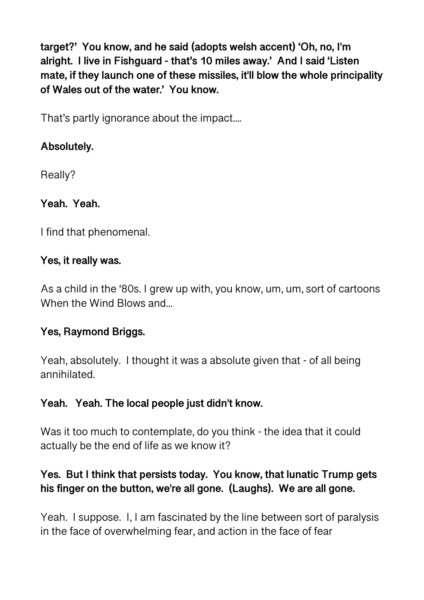**target?' You know, and he said (adopts welsh accent) 'Oh, no, I'm alright. I live in Fishguard - that's 10 miles away.' And I said 'Listen mate, if they launch one of these missiles, it'll blow the whole principality of Wales out of the water.' You know.** 

That's partly ignorance about the impact....

# **Absolutely.**

Really?

# **Yeah. Yeah.**

I find that phenomenal.

### **Yes, it really was.**

As a child in the '80s. I grew up with, you know, um, um, sort of cartoons When the Wind Blows and...

# **Yes, Raymond Briggs.**

Yeah, absolutely. I thought it was a absolute given that - of all being annihilated.

### **Yeah. Yeah. The local people just didn't know.**

Was it too much to contemplate, do you think - the idea that it could actually be the end of life as we know it?

# **Yes. But I think that persists today. You know, that lunatic Trump gets his finger on the button, we're all gone. (Laughs). We are all gone.**

Yeah. I suppose. I, I am fascinated by the line between sort of paralysis in the face of overwhelming fear, and action in the face of fear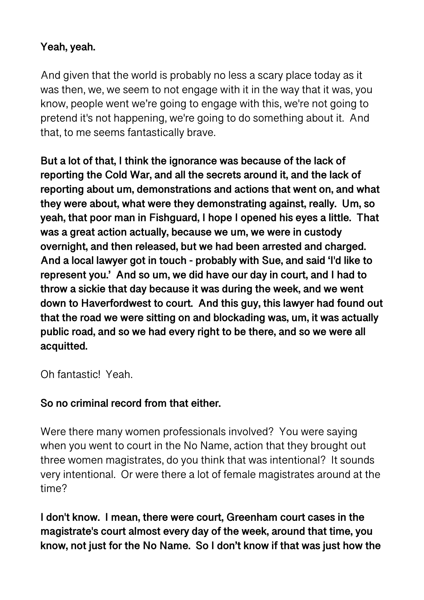### **Yeah, yeah.**

And given that the world is probably no less a scary place today as it was then, we, we seem to not engage with it in the way that it was, you know, people went we're going to engage with this, we're not going to pretend it's not happening, we're going to do something about it. And that, to me seems fantastically brave.

**But a lot of that, I think the ignorance was because of the lack of reporting the Cold War, and all the secrets around it, and the lack of reporting about um, demonstrations and actions that went on, and what they were about, what were they demonstrating against, really. Um, so yeah, that poor man in Fishguard, I hope I opened his eyes a little. That was a great action actually, because we um, we were in custody overnight, and then released, but we had been arrested and charged. And a local lawyer got in touch - probably with Sue, and said 'I'd like to represent you.' And so um, we did have our day in court, and I had to throw a sickie that day because it was during the week, and we went down to Haverfordwest to court. And this guy, this lawyer had found out that the road we were sitting on and blockading was, um, it was actually public road, and so we had every right to be there, and so we were all acquitted.** 

Oh fantastic! Yeah.

### **So no criminal record from that either.**

Were there many women professionals involved? You were saying when you went to court in the No Name, action that they brought out three women magistrates, do you think that was intentional? It sounds very intentional. Or were there a lot of female magistrates around at the time?

**I don't know. I mean, there were court, Greenham court cases in the magistrate's court almost every day of the week, around that time, you know, not just for the No Name. So I don't know if that was just how the**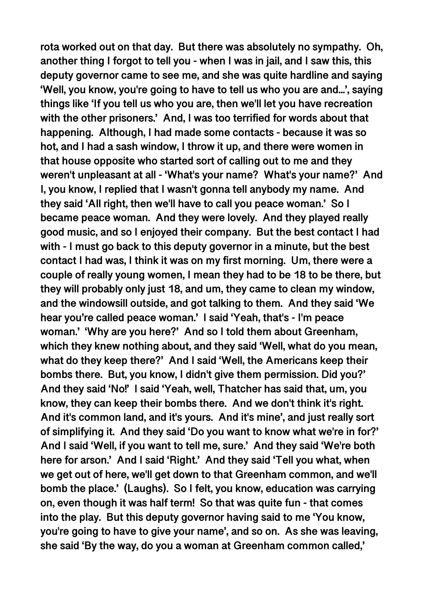**rota worked out on that day. But there was absolutely no sympathy. Oh, another thing I forgot to tell you - when I was in jail, and I saw this, this deputy governor came to see me, and she was quite hardline and saying 'Well, you know, you're going to have to tell us who you are and...', saying things like 'If you tell us who you are, then we'll let you have recreation with the other prisoners.' And, I was too terrified for words about that happening. Although, I had made some contacts - because it was so hot, and I had a sash window, I throw it up, and there were women in that house opposite who started sort of calling out to me and they weren't unpleasant at all - 'What's your name? What's your name?' And I, you know, I replied that I wasn't gonna tell anybody my name. And they said 'All right, then we'll have to call you peace woman.' So I became peace woman. And they were lovely. And they played really good music, and so I enjoyed their company. But the best contact I had with - I must go back to this deputy governor in a minute, but the best contact I had was, I think it was on my first morning. Um, there were a couple of really young women, I mean they had to be 18 to be there, but they will probably only just 18, and um, they came to clean my window, and the windowsill outside, and got talking to them. And they said 'We hear you're called peace woman.' I said 'Yeah, that's - I'm peace woman.' 'Why are you here?' And so I told them about Greenham, which they knew nothing about, and they said 'Well, what do you mean, what do they keep there?' And I said 'Well, the Americans keep their bombs there. But, you know, I didn't give them permission. Did you?' And they said 'No!' I said 'Yeah, well, Thatcher has said that, um, you know, they can keep their bombs there. And we don't think it's right. And it's common land, and it's yours. And it's mine', and just really sort of simplifying it. And they said 'Do you want to know what we're in for?' And I said 'Well, if you want to tell me, sure.' And they said 'We're both here for arson.' And I said 'Right.' And they said 'Tell you what, when we get out of here, we'll get down to that Greenham common, and we'll bomb the place.' (Laughs). So I felt, you know, education was carrying on, even though it was half term! So that was quite fun - that comes into the play. But this deputy governor having said to me 'You know, you're going to have to give your name', and so on. As she was leaving, she said 'By the way, do you a woman at Greenham common called,'**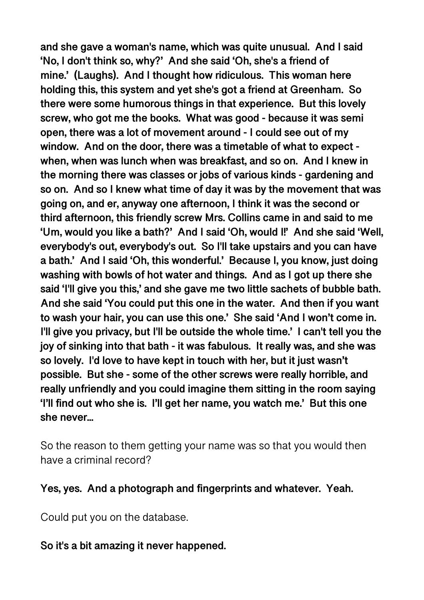**and she gave a woman's name, which was quite unusual. And I said 'No, I don't think so, why?' And she said 'Oh, she's a friend of mine.' (Laughs). And I thought how ridiculous. This woman here holding this, this system and yet she's got a friend at Greenham. So there were some humorous things in that experience. But this lovely screw, who got me the books. What was good - because it was semi open, there was a lot of movement around - I could see out of my window. And on the door, there was a timetable of what to expect when, when was lunch when was breakfast, and so on. And I knew in the morning there was classes or jobs of various kinds - gardening and so on. And so I knew what time of day it was by the movement that was going on, and er, anyway one afternoon, I think it was the second or third afternoon, this friendly screw Mrs. Collins came in and said to me 'Um, would you like a bath?' And I said 'Oh, would I!' And she said 'Well, everybody's out, everybody's out. So I'll take upstairs and you can have a bath.' And I said 'Oh, this wonderful.' Because I, you know, just doing washing with bowls of hot water and things. And as I got up there she said 'I'll give you this,' and she gave me two little sachets of bubble bath. And she said 'You could put this one in the water. And then if you want to wash your hair, you can use this one.' She said 'And I won't come in. I'll give you privacy, but I'll be outside the whole time.' I can't tell you the joy of sinking into that bath - it was fabulous. It really was, and she was so lovely. I'd love to have kept in touch with her, but it just wasn't possible. But she - some of the other screws were really horrible, and really unfriendly and you could imagine them sitting in the room saying 'I'll find out who she is. I'll get her name, you watch me.' But this one she never...** 

So the reason to them getting your name was so that you would then have a criminal record?

**Yes, yes. And a photograph and fingerprints and whatever. Yeah.** 

Could put you on the database.

#### **So it's a bit amazing it never happened.**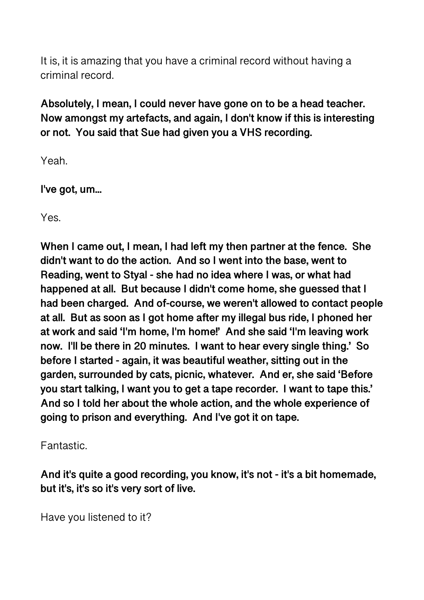It is, it is amazing that you have a criminal record without having a criminal record.

**Absolutely, I mean, I could never have gone on to be a head teacher. Now amongst my artefacts, and again, I don't know if this is interesting or not. You said that Sue had given you a VHS recording.** 

Yeah.

**I've got, um...** 

Yes.

**When I came out, I mean, I had left my then partner at the fence. She didn't want to do the action. And so I went into the base, went to Reading, went to Styal - she had no idea where I was, or what had happened at all. But because I didn't come home, she guessed that I had been charged. And of-course, we weren't allowed to contact people at all. But as soon as I got home after my illegal bus ride, I phoned her at work and said 'I'm home, I'm home!' And she said 'I'm leaving work now. I'll be there in 20 minutes. I want to hear every single thing.' So before I started - again, it was beautiful weather, sitting out in the garden, surrounded by cats, picnic, whatever. And er, she said 'Before you start talking, I want you to get a tape recorder. I want to tape this.' And so I told her about the whole action, and the whole experience of going to prison and everything. And I've got it on tape.** 

Fantastic.

**And it's quite a good recording, you know, it's not - it's a bit homemade, but it's, it's so it's very sort of live.** 

Have you listened to it?